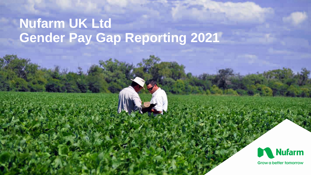# **Nufarm UK Ltd Gender Pay Gap Reporting 2021**

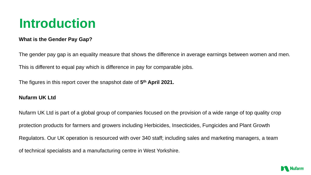## **Introduction**

#### **What is the Gender Pay Gap?**

The gender pay gap is an equality measure that shows the difference in average earnings between women and men. This is different to equal pay which is difference in pay for comparable jobs.

The figures in this report cover the snapshot date of **5 th April 2021.**

#### **Nufarm UK Ltd**

Nufarm UK Ltd is part of a global group of companies focused on the provision of a wide range of top quality crop protection products for farmers and growers including Herbicides, Insecticides, Fungicides and Plant Growth Regulators. Our UK operation is resourced with over 340 staff; including sales and marketing managers, a team of technical specialists and a manufacturing centre in West Yorkshire.

- 
- 

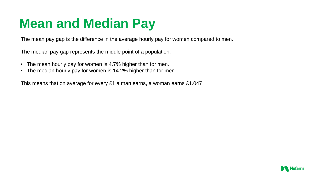## **Mean and Median Pay**

The mean pay gap is the difference in the average hourly pay for women compared to men.

The median pay gap represents the middle point of a population.

- The mean hourly pay for women is 4.7% higher than for men.
- The median hourly pay for women is 14.2% higher than for men.

This means that on average for every £1 a man earns, a woman earns £1.047

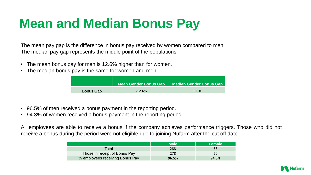# **Mean and Median Bonus Pay**

The mean pay gap is the difference in bonus pay received by women compared to men. The median pay gap represents the middle point of the populations.

- The mean bonus pay for men is 12.6% higher than for women.
- The median bonus pay is the same for women and men.

- 96.5% of men received a bonus payment in the reporting period.
- 94.3% of women received a bonus payment in the reporting period.

All employees are able to receive a bonus if the company achieves performance triggers. Those who did not receive a bonus during the period were not eligible due to joining Nufarm after the cut off date.

|                  | Mean Gender Bonus Gap | Median Gender |
|------------------|-----------------------|---------------|
| <b>Bonus Gap</b> | $-12.6%$              | 0.0%          |

|                                 | <b>Male</b> | <b>\Female</b> |
|---------------------------------|-------------|----------------|
| Total                           | 288         |                |
| Those in receipt of Bonus Pay   | 278         | 50             |
| % employees receiving Bonus Pay | 96.5%       | 94.3%          |



**Meanus Gap**